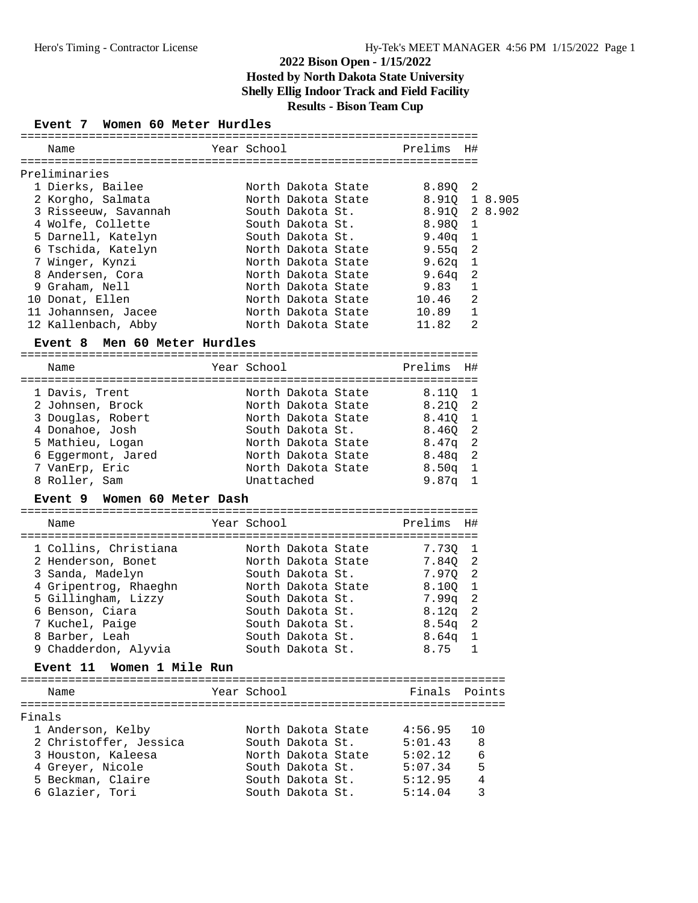# **Event 7 Women 60 Meter Hurdles**

|        | Name                                         | Year School                            | Prelims           | H#             |                |
|--------|----------------------------------------------|----------------------------------------|-------------------|----------------|----------------|
|        |                                              |                                        |                   |                |                |
|        | Preliminaries                                |                                        |                   |                |                |
|        | 1 Dierks, Bailee                             | North Dakota State                     | 8.89Q             | 2              |                |
|        | 2 Korgho, Salmata                            | North Dakota State                     | 8.910             |                | 1 8.905        |
|        | 3 Risseeuw, Savannah                         | South Dakota St.                       | 8.91Q             |                | 2 8.902        |
|        | 4 Wolfe, Collette                            | South Dakota St.                       | 8.980             | 1              |                |
|        | 5 Darnell, Katelyn                           | South Dakota St.                       | 9.40q             | 1              |                |
|        | 6 Tschida, Katelyn                           | North Dakota State                     | 9.55 <sub>q</sub> | 2              |                |
|        | 7 Winger, Kynzi                              | North Dakota State                     | 9.62q             | 1              |                |
|        | 8 Andersen, Cora                             | North Dakota State                     | 9.64q             | 2              |                |
|        | 9 Graham, Nell                               | North Dakota State                     | 9.83              | $\mathbf{1}$   |                |
|        | 10 Donat, Ellen                              | North Dakota State                     | 10.46             | $\overline{a}$ |                |
|        | 11 Johannsen, Jacee                          | North Dakota State                     | 10.89             | 1              |                |
|        | 12 Kallenbach, Abby                          | North Dakota State                     | 11.82             | 2              |                |
|        | Event 8 Men 60 Meter Hurdles                 |                                        |                   |                |                |
|        | Name                                         | Year School                            | Prelims           | H#             |                |
|        |                                              |                                        |                   |                |                |
|        | 1 Davis, Trent                               | North Dakota State                     | 8.110             | 1              |                |
|        | 2 Johnsen, Brock                             | North Dakota State                     | 8.210             | 2              |                |
|        | 3 Douglas, Robert<br>4 Donahoe, Josh         | North Dakota State<br>South Dakota St. | 8.410             | 1<br>2         |                |
|        |                                              | North Dakota State                     | 8.46Q             | $\overline{a}$ |                |
|        | 5 Mathieu, Logan                             | North Dakota State                     | 8.47q             | $\overline{a}$ |                |
|        | 6 Eggermont, Jared                           | North Dakota State                     | 8.48q             |                |                |
|        | 7 VanErp, Eric<br>8 Roller, Sam              | Unattached                             | 8.50 <sub>q</sub> | 1<br>1         |                |
|        |                                              |                                        | 9.87q             |                |                |
|        | Event 9 Women 60 Meter Dash                  |                                        |                   |                |                |
|        | Name                                         | Year School                            | Prelims           | H#             |                |
|        | 1 Collins, Christiana                        | North Dakota State                     | 7.730             | 1              |                |
|        | 2 Henderson, Bonet                           | North Dakota State                     | 7.84Q             | 2              |                |
|        | 3 Sanda, Madelyn                             | South Dakota St.                       | 7.970             | 2              |                |
|        |                                              | North Dakota State                     | 8.10Q             | $\mathbf 1$    |                |
|        | 4 Gripentrog, Rhaeghn<br>5 Gillingham, Lizzy | South Dakota St.                       | 7.99q             | $\overline{2}$ |                |
|        | 6 Benson, Ciara                              | South Dakota St.                       | 8.12q             | 2              |                |
|        | 7 Kuchel, Paige                              | South Dakota St.                       | 8.54a             | 2              |                |
|        | 8 Barber, Leah                               | South Dakota St.                       | 8.64 <sub>q</sub> | $\mathbf{1}$   |                |
|        | 9 Chadderdon, Alyvia                         | South Dakota St.                       | 8.75              | 1              |                |
|        | Women 1 Mile Run<br>Event 11                 |                                        |                   |                |                |
|        | Name                                         | Year School                            | Finals            |                | Points         |
|        |                                              |                                        |                   |                |                |
| Finals |                                              |                                        |                   |                |                |
|        | 1 Anderson, Kelby                            | North Dakota State                     | 4:56.95           | 10             |                |
|        | 2 Christoffer, Jessica                       | South Dakota St.                       | 5:01.43           |                | 8              |
|        | 3 Houston, Kaleesa                           | North Dakota State                     | 5:02.12           |                | 6              |
|        | 4 Greyer, Nicole                             | South Dakota St.                       | 5:07.34           |                | 5              |
|        | 5 Beckman, Claire                            | South Dakota St.                       | 5:12.95           |                | $\overline{4}$ |
|        | 6 Glazier, Tori                              | South Dakota St.                       | 5:14.04           |                | 3              |
|        |                                              |                                        |                   |                |                |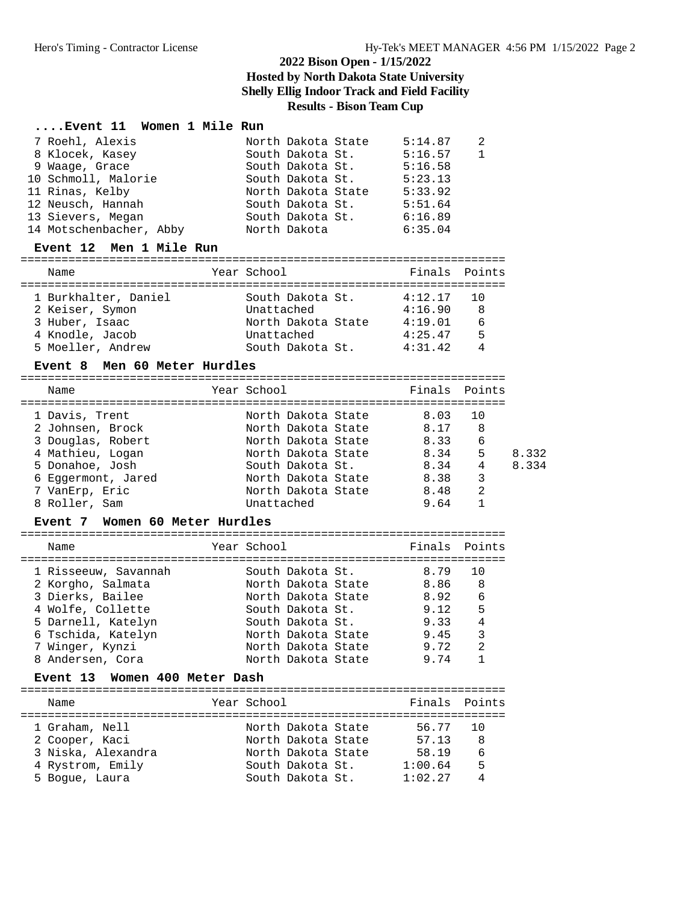#### **....Event 11 Women 1 Mile Run**

|                                                                                                                                                                     |              | 5:14.87                                                                                                                                      | 2            |
|---------------------------------------------------------------------------------------------------------------------------------------------------------------------|--------------|----------------------------------------------------------------------------------------------------------------------------------------------|--------------|
|                                                                                                                                                                     |              | 5:16.57                                                                                                                                      | $\mathbf{1}$ |
|                                                                                                                                                                     |              | 5:16.58                                                                                                                                      |              |
|                                                                                                                                                                     |              | 5:23.13                                                                                                                                      |              |
|                                                                                                                                                                     |              | 5:33.92                                                                                                                                      |              |
|                                                                                                                                                                     |              | 5:51.64                                                                                                                                      |              |
|                                                                                                                                                                     |              | 6:16.89                                                                                                                                      |              |
|                                                                                                                                                                     |              | 6:35.04                                                                                                                                      |              |
| 7 Roehl, Alexis<br>8 Klocek, Kasey<br>9 Waage, Grace<br>10 Schmoll, Malorie<br>11 Rinas, Kelby<br>12 Neusch, Hannah<br>13 Sievers, Megan<br>14 Motschenbacher, Abby | North Dakota | North Dakota State<br>South Dakota St.<br>South Dakota St.<br>South Dakota St.<br>North Dakota State<br>South Dakota St.<br>South Dakota St. |              |

#### **Event 12 Men 1 Mile Run**

======================================================================= Name Year School Finals Points ======================================================================= 1 Burkhalter, Daniel South Dakota St. 4:12.17 10 2 Keiser, Symon Unattached 4:16.90 8 3 Huber, Isaac North Dakota State 4:19.01 6

 4 Knodle, Jacob Unattached 4:25.47 5 5 Moeller, Andrew South Dakota St. 4:31.42 4

#### **Event 8 Men 60 Meter Hurdles**

| Name               | Year School        | Finals Points |     |       |
|--------------------|--------------------|---------------|-----|-------|
| 1 Davis, Trent     | North Dakota State | 8.03          | 1 N |       |
| 2 Johnsen, Brock   | North Dakota State | 8.17          | 8   |       |
| 3 Douglas, Robert  | North Dakota State | 8.33          | 6   |       |
| 4 Mathieu, Logan   | North Dakota State | 8.34          | 5   | 8.332 |
| 5 Donahoe, Josh    | South Dakota St.   | 8.34          | 4   | 8.334 |
| 6 Eqqermont, Jared | North Dakota State | 8.38          | 3   |       |
| 7 VanErp, Eric     | North Dakota State | 8.48          | 2   |       |
| 8 Roller, Sam      | Unattached         | 9.64          |     |       |
|                    |                    |               |     |       |

#### **Event 7 Women 60 Meter Hurdles**

| Name                 | Year School        | Finals Points |     |
|----------------------|--------------------|---------------|-----|
| 1 Risseeuw, Savannah | South Dakota St.   | 8.79          | 1 N |
| 2 Korgho, Salmata    | North Dakota State | 8.86 8        |     |
| 3 Dierks, Bailee     | North Dakota State | 8.92          | 6   |
| 4 Wolfe, Collette    | South Dakota St.   | 9.12          | 5   |
| 5 Darnell, Katelyn   | South Dakota St.   | 9.33          | 4   |
| 6 Tschida, Katelyn   | North Dakota State | 9.45          | 3   |
| 7 Winger, Kynzi      | North Dakota State | 9.72          | 2   |
| 8 Andersen, Cora     | North Dakota State | 9.74          |     |

#### **Event 13 Women 400 Meter Dash**

| Name               | Year School        | Finals Points |    |
|--------------------|--------------------|---------------|----|
| 1 Graham, Nell     | North Dakota State | 56.77 10      |    |
| 2 Cooper, Kaci     | North Dakota State | 57.13         | 8  |
| 3 Niska, Alexandra | North Dakota State | 58.19         | -6 |
| 4 Rystrom, Emily   | South Dakota St.   | 1:00.64       | .5 |
| 5 Boque, Laura     | South Dakota St.   | 1:02.27       |    |
|                    |                    |               |    |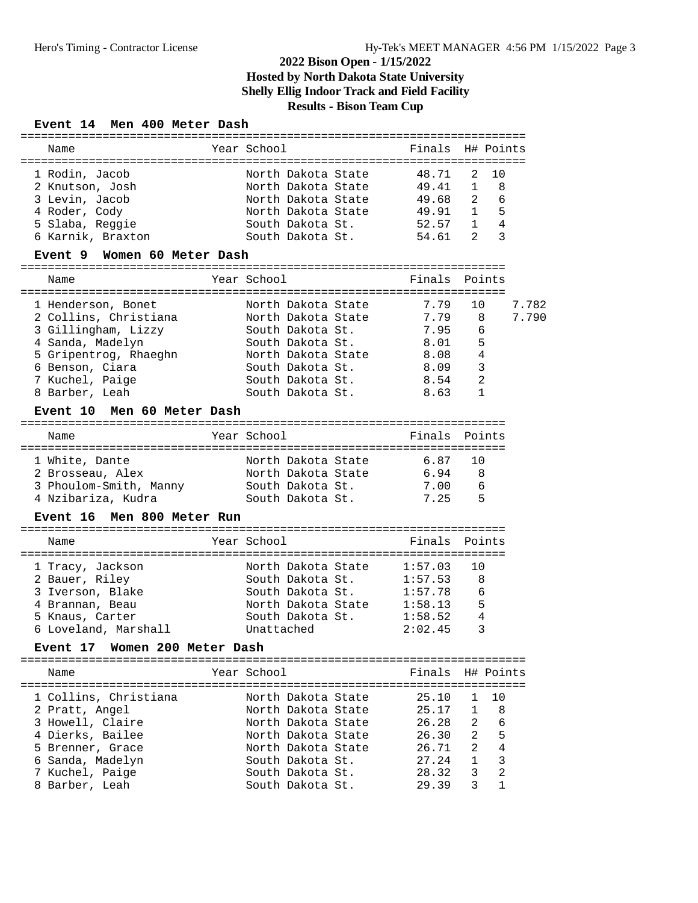#### **Event 14 Men 400 Meter Dash**

|                                                                                                                                                                          | Finals                                                                                                                                                                                                        |                                                                                                                                           |                                                                         |
|--------------------------------------------------------------------------------------------------------------------------------------------------------------------------|---------------------------------------------------------------------------------------------------------------------------------------------------------------------------------------------------------------|-------------------------------------------------------------------------------------------------------------------------------------------|-------------------------------------------------------------------------|
| North Dakota State<br>North Dakota State<br>North Dakota State<br>North Dakota State<br>South Dakota St.<br>South Dakota St.<br>North Dakota State<br>North Dakota State | 48.71<br>49.41<br>49.68<br>49.91<br>52.57<br>54.61<br>Finals<br>7.79<br>7.79                                                                                                                                  | 2<br>10<br>$\mathbf{1}$<br>8<br>6<br>2<br>5<br>1<br>4<br>$\mathbf{1}$<br>3<br>2<br>Points<br>10<br>8                                      | 7.782<br>7.790                                                          |
| South Dakota St.<br>North Dakota State<br>South Dakota St.<br>South Dakota St.<br>South Dakota St.                                                                       | 8.01<br>8.08<br>8.09<br>8.54<br>8.63                                                                                                                                                                          | 5<br>4<br>3<br>2<br>$\mathbf{1}$                                                                                                          |                                                                         |
|                                                                                                                                                                          |                                                                                                                                                                                                               |                                                                                                                                           |                                                                         |
| North Dakota State<br>North Dakota State<br>South Dakota St.<br>South Dakota St.                                                                                         | 6.87<br>6.94<br>7.00<br>7.25                                                                                                                                                                                  | 10<br>8<br>6<br>5                                                                                                                         |                                                                         |
|                                                                                                                                                                          |                                                                                                                                                                                                               |                                                                                                                                           |                                                                         |
|                                                                                                                                                                          | Finals                                                                                                                                                                                                        | Points                                                                                                                                    |                                                                         |
| North Dakota State<br>South Dakota St.<br>South Dakota St.<br>North Dakota State<br>South Dakota St.<br>Unattached                                                       | 1:57.03<br>1:57.53<br>1:57.78<br>1:58.13<br>1:58.52<br>2:02.45                                                                                                                                                | 10<br>8<br>6<br>5<br>4<br>3                                                                                                               |                                                                         |
|                                                                                                                                                                          |                                                                                                                                                                                                               |                                                                                                                                           |                                                                         |
| North Dakota State<br>North Dakota State<br>North Dakota State<br>North Dakota State<br>North Dakota State<br>South Dakota St.<br>South Dakota St.<br>South Dakota St.   | Finals<br>25.10<br>25.17<br>26.28<br>26.30<br>26.71<br>27.24<br>28.32<br>29.39                                                                                                                                | 1<br>10<br>8<br>1<br>2<br>$\epsilon$<br>5<br>$\overline{a}$<br>$\overline{a}$<br>$\,4$<br>$\mathsf 3$<br>1<br>2<br>3<br>3<br>$\mathbf{1}$ |                                                                         |
| 3 Phoulom-Smith, Manny                                                                                                                                                   | Year School<br>Women 60 Meter Dash<br>Year School<br>South Dakota St.<br>Men 60 Meter Dash<br>Year School<br><b>Event 16 Men 800 Meter Run</b><br>Year School<br>Event 17 Women 200 Meter Dash<br>Year School | 7.95                                                                                                                                      | H# Points<br>:======================<br>6<br>Finals Points<br>H# Points |

==========================================================================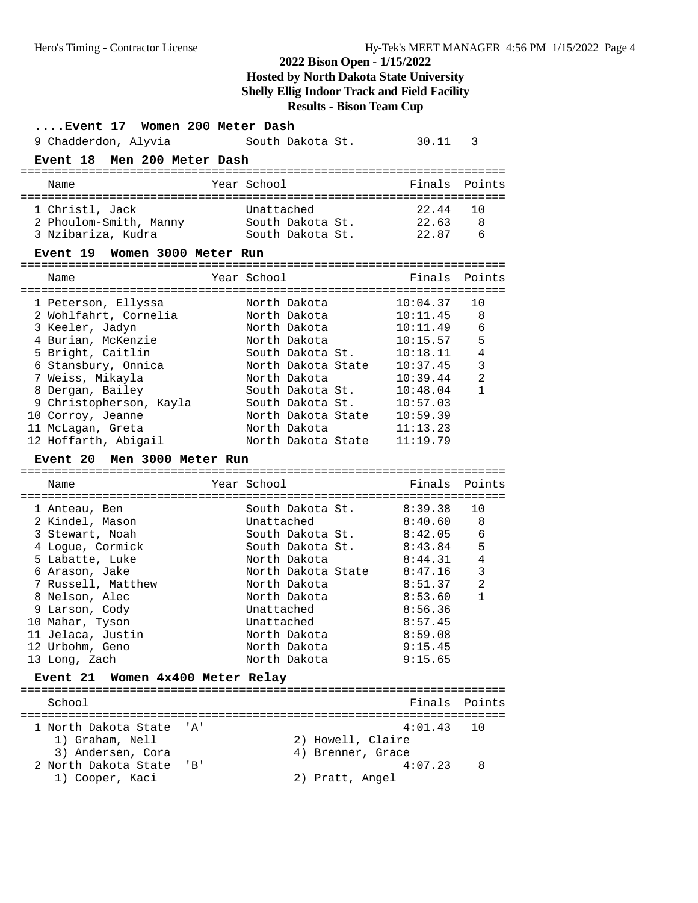| Event 17 Women 200 Meter Dash                                                                                                                                                                                                                                                                         |                                                                                                                                                                                                                                  |                                                                                                                                              |                                                                            |
|-------------------------------------------------------------------------------------------------------------------------------------------------------------------------------------------------------------------------------------------------------------------------------------------------------|----------------------------------------------------------------------------------------------------------------------------------------------------------------------------------------------------------------------------------|----------------------------------------------------------------------------------------------------------------------------------------------|----------------------------------------------------------------------------|
| 9 Chadderdon, Alyvia                                                                                                                                                                                                                                                                                  | South Dakota St.                                                                                                                                                                                                                 | 30.11                                                                                                                                        | 3                                                                          |
| Event 18 Men 200 Meter Dash                                                                                                                                                                                                                                                                           |                                                                                                                                                                                                                                  |                                                                                                                                              |                                                                            |
| Name                                                                                                                                                                                                                                                                                                  | Year School                                                                                                                                                                                                                      | Finals                                                                                                                                       | Points                                                                     |
| 1 Christl, Jack<br>2 Phoulom-Smith, Manny<br>3 Nzibariza, Kudra<br>Event 19 Women 3000 Meter Run                                                                                                                                                                                                      | Unattached<br>South Dakota St.<br>South Dakota St.                                                                                                                                                                               | 22.44<br>22.63<br>22.87                                                                                                                      | 10<br>-8<br>6                                                              |
| Name                                                                                                                                                                                                                                                                                                  | Year School                                                                                                                                                                                                                      | Finals                                                                                                                                       | Points                                                                     |
| 1 Peterson, Ellyssa<br>2 Wohlfahrt, Cornelia<br>3 Keeler, Jadyn<br>4 Burian, McKenzie<br>5 Bright, Caitlin<br>6 Stansbury, Onnica<br>7 Weiss, Mikayla<br>8 Dergan, Bailey<br>9 Christopherson, Kayla<br>10 Corroy, Jeanne<br>11 McLagan, Greta<br>12 Hoffarth, Abigail<br>Event 20 Men 3000 Meter Run | North Dakota<br>North Dakota<br>North Dakota<br>North Dakota<br>South Dakota St.<br>North Dakota State<br>North Dakota<br>South Dakota St.<br>South Dakota St.<br>North Dakota State<br>North Dakota<br>North Dakota State       | 10:04.37<br>10:11.45<br>10:11.49<br>10:15.57<br>10:18.11<br>10:37.45<br>10:39.44<br>10:48.04<br>10:57.03<br>10:59.39<br>11:13.23<br>11:19.79 | 10<br>8<br>6<br>5<br>4<br>$\overline{3}$<br>$\overline{2}$<br>$\mathbf{1}$ |
| Name                                                                                                                                                                                                                                                                                                  | Year School                                                                                                                                                                                                                      | Finals                                                                                                                                       | Points                                                                     |
| 1 Anteau, Ben<br>2 Kindel, Mason<br>3 Stewart, Noah<br>4 Logue, Cormick<br>5 Labatte, Luke<br>6 Arason, Jake<br>7 Russell, Matthew<br>8 Nelson, Alec<br>9 Larson, Cody<br>10 Mahar, Tyson<br>11 Jelaca, Justin<br>12 Urbohm, Geno<br>13 Long, Zach<br><b>Event 21</b><br>Women 4x400 Meter Relay      | South Dakota St.<br>Unattached<br>South Dakota St.<br>South Dakota St.<br>North Dakota<br>North Dakota State 8:47.16<br>North Dakota<br>North Dakota<br>Unattached<br>Unattached<br>North Dakota<br>North Dakota<br>North Dakota | 8:39.38<br>8:40.60<br>8:42.05<br>8:43.84<br>8:44.31<br>8:51.37<br>8:53.60<br>8:56.36<br>8:57.45<br>8:59.08<br>9:15.45<br>9:15.65             | 10<br>8<br>6<br>5<br>$\overline{4}$<br>3<br>$\overline{a}$<br>$\mathbf{1}$ |
| School                                                                                                                                                                                                                                                                                                |                                                                                                                                                                                                                                  | Finals                                                                                                                                       | Points                                                                     |
| 1 North Dakota State<br>' A '<br>1) Graham, Nell<br>3) Andersen, Cora<br>2 North Dakota State<br>'B'                                                                                                                                                                                                  | 2) Howell, Claire<br>4) Brenner, Grace                                                                                                                                                                                           | 4:01.43<br>4:07.23                                                                                                                           | 10<br>8                                                                    |
| 1) Cooper, Kaci                                                                                                                                                                                                                                                                                       | 2) Pratt, Angel                                                                                                                                                                                                                  |                                                                                                                                              |                                                                            |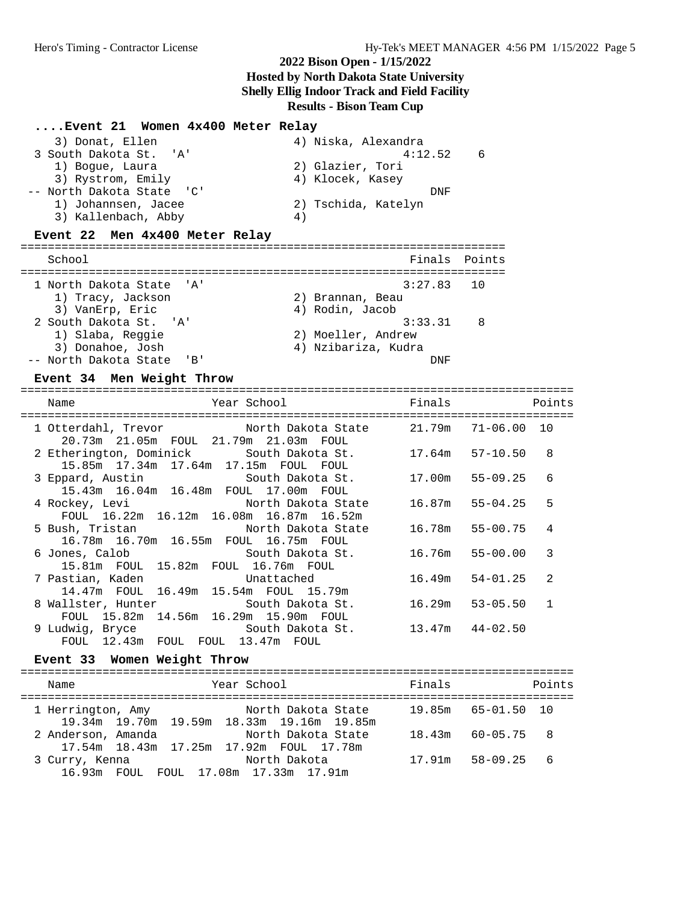#### **....Event 21 Women 4x400 Meter Relay**

| 3) Donat, Ellen           | 4) Niska, Alexandra |
|---------------------------|---------------------|
| 3 South Dakota St. 'A'    | 4:12.52<br>6        |
| 1) Boque, Laura           | 2) Glazier, Tori    |
| 3) Rystrom, Emily         | 4) Klocek, Kasey    |
| -- North Dakota State 'C' | DNF                 |
| 1) Johannsen, Jacee       | 2) Tschida, Katelyn |
| 3) Kallenbach, Abby       | 4)                  |

#### **Event 22 Men 4x400 Meter Relay**

| School                                                                   | Finals Points       |
|--------------------------------------------------------------------------|---------------------|
|                                                                          |                     |
| 1 North Dakota State 'A'                                                 | $3:27.83$ 10        |
| 1) Tracy, Jackson                                                        | 2) Brannan, Beau    |
| 3) VanErp, Eric                                                          | 4) Rodin, Jacob     |
| 2 South Dakota St. 'A'                                                   | 3:33.31<br>-8       |
| 1) Slaba, Reggie                                                         | 2) Moeller, Andrew  |
| 3) Donahoe, Josh                                                         | 4) Nzibariza, Kudra |
| -- North Dakota State<br>$^{\prime}$ R <sup><math>^{\prime}</math></sup> | DNF                 |

#### **Event 34 Men Weight Throw**

| Name                                                                  | Year School District the Second Second Second Second Second Second Second Second Second Second Second Second S     | Finals and the state of the state of the state of the state of the state of the state of the state of the state of the state of the state of the state of the state of the state of the state of the state of the state of the |                     | Points         |
|-----------------------------------------------------------------------|--------------------------------------------------------------------------------------------------------------------|--------------------------------------------------------------------------------------------------------------------------------------------------------------------------------------------------------------------------------|---------------------|----------------|
|                                                                       | 1 Otterdahl, Trevor Morth Dakota State 21.79m 71-06.00 10<br>20.73m  21.05m  FOUL  21.79m  21.03m  FOUL            |                                                                                                                                                                                                                                |                     |                |
|                                                                       | 2 Etherington, Dominick      South Dakota St.      17.64m   57-10.50<br>15.85m  17.34m  17.64m  17.15m  FOUL  FOUL |                                                                                                                                                                                                                                |                     | 8              |
|                                                                       | 15.43m 16.04m 16.48m FOUL 17.00m FOUL                                                                              |                                                                                                                                                                                                                                |                     | 6              |
|                                                                       | 4 Rockey, Levi North Dakota State<br>FOUL 16.22m 16.12m 16.08m 16.87m 16.52m                                       |                                                                                                                                                                                                                                | 16.87m 55-04.25     | 5              |
|                                                                       | 5 Bush, Tristan North Dakota State<br>16.78m  16.70m  16.55m  FOUL  16.75m  FOUL                                   |                                                                                                                                                                                                                                | 16.78m 55-00.75     | $\overline{4}$ |
| 6 Jones, Calob<br>15.81m  FOUL  15.82m  FOUL  16.76m  FOUL            | South Dakota St.                                                                                                   |                                                                                                                                                                                                                                | 16.76m 55-00.00     | 3              |
|                                                                       | 7 Pastian, Kaden                       Unattached<br>14.47m FOUL 16.49m 15.54m FOUL 15.79m                         |                                                                                                                                                                                                                                | $16.49m$ $54-01.25$ | $\mathfrak{D}$ |
|                                                                       | 8 Wallster, Hunter South Dakota St.<br>FOUL 15.82m 14.56m 16.29m 15.90m FOUL                                       |                                                                                                                                                                                                                                | 16.29m 53-05.50     | $\mathbf{1}$   |
| 9 Ludwig, Bryce South Dakota St.<br>FOUL 12.43m FOUL FOUL 13.47m FOUL |                                                                                                                    | $13.47m$ $44-02.50$                                                                                                                                                                                                            |                     |                |
|                                                                       |                                                                                                                    |                                                                                                                                                                                                                                |                     |                |

### **Event 33 Women Weight Throw**

| Year School<br>Name                                                                  | Finals             | Points         |
|--------------------------------------------------------------------------------------|--------------------|----------------|
| 1 Herrington, Amy<br>North Dakota State<br>19.34m 19.70m 19.59m 18.33m 19.16m 19.85m | 19.85m 65-01.50 10 |                |
| North Dakota State<br>2 Anderson, Amanda                                             | 18.43m             | $60 - 05.75$ 8 |
| 17.54m 18.43m 17.25m 17.92m FOUL 17.78m<br>North Dakota<br>3 Curry, Kenna            | 17.91m             | $58 - 09.25$ 6 |
| 16.93m FOUL FOUL 17.08m 17.33m 17.91m                                                |                    |                |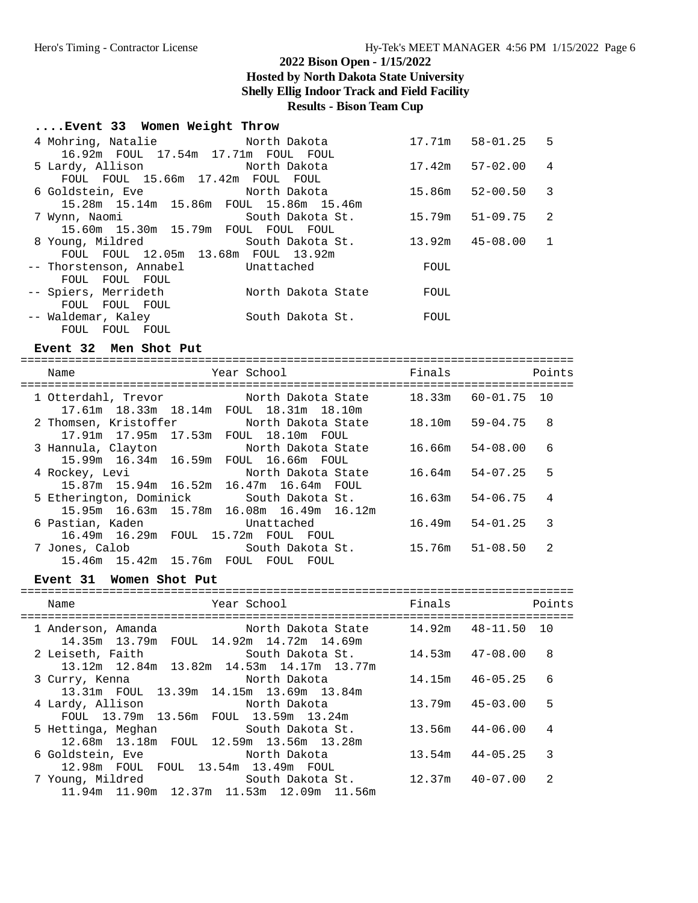### **2022 Bison Open - 1/15/2022**

**Hosted by North Dakota State University**

**Shelly Ellig Indoor Track and Field Facility**

**Results - Bison Team Cup**

# **....Event 33 Women Weight Throw**

| 4 Mohring, Natalie Morth Dakota                   |                                                                                    |                   | 17.71m 58-01.25 5 |                |
|---------------------------------------------------|------------------------------------------------------------------------------------|-------------------|-------------------|----------------|
| 16.92m FOUL 17.54m 17.71m FOUL FOUL               |                                                                                    |                   |                   |                |
| 5 Lardy, Allison                 North Dakota     |                                                                                    |                   | 17.42m 57-02.00   | $\overline{4}$ |
| FOUL FOUL 15.66m 17.42m FOUL FOUL                 |                                                                                    |                   |                   |                |
|                                                   |                                                                                    | 15.86m 52-00.50 3 |                   |                |
| 15.28m 15.14m 15.86m FOUL 15.86m 15.46m           |                                                                                    |                   |                   |                |
|                                                   | 7 Wynn, Naomi                         South Dakota St.         15.79m     51-09.75 |                   |                   | -2             |
| 15.60m  15.30m  15.79m  FOUL  FOUL  FOUL          |                                                                                    |                   |                   |                |
| 8 Young, Mildred South Dakota St.                 |                                                                                    | 13.92m 45-08.00   |                   | -1             |
| FOUL FOUL 12.05m 13.68m FOUL 13.92m               |                                                                                    |                   |                   |                |
| -- Thorstenson, Annabel Unattached                |                                                                                    | FOUL              |                   |                |
| FOUL FOUL FOUL                                    |                                                                                    |                   |                   |                |
| -- Spiers, Merrideth           North Dakota State |                                                                                    | FOUL              |                   |                |
| FOUL FOUL FOUL                                    |                                                                                    |                   |                   |                |
| -- Waldemar, Kaley                                | South Dakota St.                                                                   | FOUL              |                   |                |
| FOUL FOUL FOUL                                    |                                                                                    |                   |                   |                |

#### **Event 32 Men Shot Put**

| Name                                                                                                       | Year School |                                           | Finals             |                     | Points         |
|------------------------------------------------------------------------------------------------------------|-------------|-------------------------------------------|--------------------|---------------------|----------------|
| =====================<br>1 Otterdahl, Trevor North Dakota State<br>17.61m 18.33m 18.14m FOUL 18.31m 18.10m |             |                                           | 18.33m 60-01.75 10 |                     |                |
| 2 Thomsen, Kristoffer<br>17.91m  17.95m  17.53m  FOUL  18.10m  FOUL                                        |             | North Dakota State                        |                    | 18.10m 59-04.75     | 8              |
| 3 Hannula, Clayton North Dakota State<br>15.99m 16.34m 16.59m                                              |             | FOUL 16.66m FOUL                          |                    | $16.66m$ $54-08.00$ | 6              |
| 4 Rockey, Levi<br>15.87m 15.94m 16.52m 16.47m 16.64m FOUL                                                  |             | North Dakota State                        |                    | $16.64m$ $54-07.25$ | 5              |
| 5 Etherington, Dominick South Dakota St.                                                                   |             | 15.95m 16.63m 15.78m 16.08m 16.49m 16.12m |                    | $16.63m$ $54-06.75$ | 4              |
| 6 Pastian, Kaden<br>16.49m 16.29m FOUL 15.72m FOUL FOUL                                                    |             | Unattached                                |                    | $16.49m$ $54-01.25$ | 3              |
| 7 Jones, Calob<br>15.46m 15.42m 15.76m FOUL FOUL                                                           |             | South Dakota St.<br>FOUL                  | 15.76m 51-08.50    |                     | $\mathfrak{D}$ |

#### Event 31 Women Shot Put

| Year School<br>Name                                                                               | Finals              | Points            |
|---------------------------------------------------------------------------------------------------|---------------------|-------------------|
| North Dakota State<br>1 Anderson, Amanda<br>14.35m 13.79m FOUL 14.92m 14.72m 14.69m               | $14.92m$ $48-11.50$ | 1 O               |
| 2 Leiseth, Faith               South Dakota St.<br>13.12m 12.84m 13.82m 14.53m 14.17m 13.77m      | 14.53m  47-08.00    | -8                |
| North Dakota<br>3 Curry, Kenna<br>13.31m FOUL 13.39m 14.15m 13.69m 13.84m                         | $14.15m$ $46-05.25$ | 6                 |
| 4 Lardy, Allison<br>North Dakota<br>FOUL 13.79m 13.56m FOUL 13.59m 13.24m                         | 13.79m              | 5<br>$45 - 03.00$ |
| 5 Hettinga, Meghan South Dakota St.<br>12.68m 13.18m FOUL 12.59m 13.56m 13.28m                    | $13.56m$ $44-06.00$ | 4                 |
| 6 Goldstein, Eve<br>North Dakota<br>12.98m FOUL FOUL 13.54m 13.49m FOUL                           | $13.54m$ $44-05.25$ | 3                 |
| South Dakota St. 12.37m 40-07.00<br>7 Young, Mildred<br>11.94m 11.90m 12.37m 11.53m 12.09m 11.56m |                     | 2                 |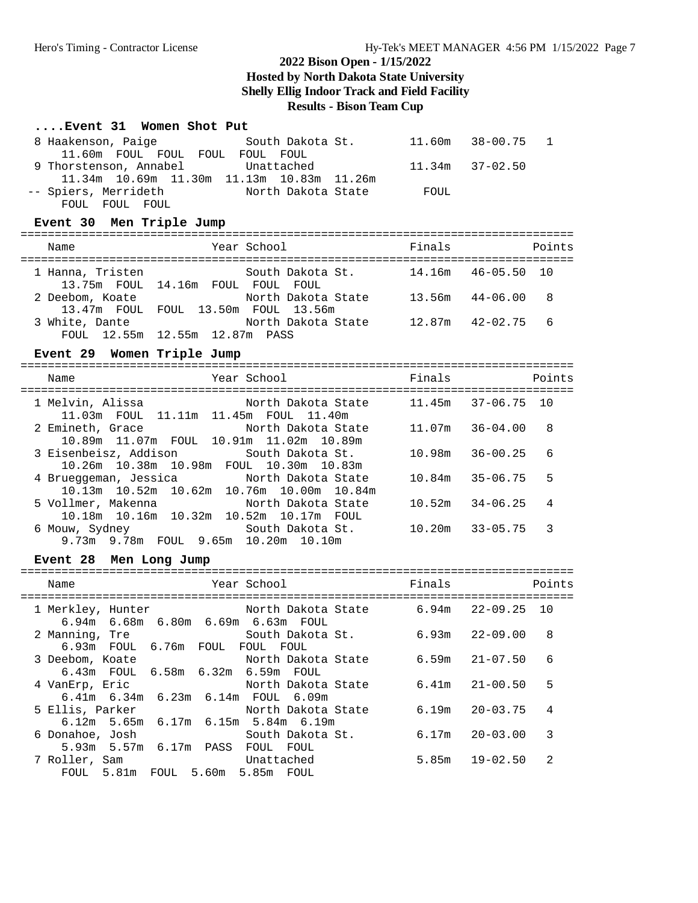### **....Event 31 Women Shot Put**

| 8 Haakenson, Paige South Dakota St. 11.60m 38-00.75<br>11.60m FOUL FOUL FOUL FOUL FOUL        |        |                     | $\mathbf 1$ |  |  |  |  |  |  |
|-----------------------------------------------------------------------------------------------|--------|---------------------|-------------|--|--|--|--|--|--|
| 9 Thorstenson, Annabel<br>Unattached                                                          |        | $11.34m$ $37-02.50$ |             |  |  |  |  |  |  |
| 11.34m 10.69m 11.30m 11.13m 10.83m 11.26m<br>-- Spiers, Merrideth Morth Dakota State FOUL     |        |                     |             |  |  |  |  |  |  |
| FOUL FOUL FOUL                                                                                |        |                     |             |  |  |  |  |  |  |
| Event 30 Men Triple Jump                                                                      |        |                     |             |  |  |  |  |  |  |
| Year School<br>Name                                                                           |        | Finals              | Points      |  |  |  |  |  |  |
| 1 Hanna, Tristen 50uth Dakota St. 14.16m 46-05.50 10<br>13.75m FOUL 14.16m FOUL FOUL FOUL     |        |                     |             |  |  |  |  |  |  |
| 2 Deebom, Koate           North Dakota State     13.56m   44-06.00                            |        |                     | 8           |  |  |  |  |  |  |
| 13.47m FOUL FOUL 13.50m FOUL 13.56m                                                           |        |                     | 6           |  |  |  |  |  |  |
|                                                                                               |        |                     |             |  |  |  |  |  |  |
| Event 29 Women Triple Jump                                                                    |        |                     |             |  |  |  |  |  |  |
| Year School<br>Name                                                                           | Finals |                     | Points      |  |  |  |  |  |  |
| 1 Melvin, Alissa (10) North Dakota State 11.45m 37-06.75 10                                   |        |                     |             |  |  |  |  |  |  |
| 11.03m  FOUL  11.11m  11.45m  FOUL  11.40m                                                    |        |                     |             |  |  |  |  |  |  |
| North Dakota State<br>2 Emineth, Grace<br>10.89m  11.07m  FOUL  10.91m  11.02m  10.89m        |        | $11.07m$ $36-04.00$ | 8           |  |  |  |  |  |  |
| 3 Eisenbeisz, Addison<br>South Dakota St.<br>10.26m  10.38m  10.98m  FOUL  10.30m  10.83m     | 10.98m | $36 - 00.25$        | 6           |  |  |  |  |  |  |
| 4 Brueggeman, Jessica<br>North Dakota State<br>10.13m  10.52m  10.62m  10.76m  10.00m  10.84m | 10.84m | 35-06.75            | 5           |  |  |  |  |  |  |
| 5 Vollmer, Makenna<br>North Dakota State                                                      | 10.52m | 34-06.25            | 4           |  |  |  |  |  |  |
| 10.18m  10.16m  10.32m  10.52m  10.17m  FOUL<br>6 Mouw, Sydney South Dakota St.               |        | $10.20m$ $33-05.75$ | 3           |  |  |  |  |  |  |
| 9.73m 9.78m FOUL 9.65m 10.20m 10.10m                                                          |        |                     |             |  |  |  |  |  |  |
| Event 28 Men Long Jump                                                                        |        |                     |             |  |  |  |  |  |  |
| Year School<br>Name                                                                           | Finals |                     | Points      |  |  |  |  |  |  |
|                                                                                               |        |                     |             |  |  |  |  |  |  |
| 1 Merkley, Hunter 6.94m 22-09.25 10<br>6.94m 6.68m 6.80m 6.69m 6.63m FOUL                     |        |                     |             |  |  |  |  |  |  |
| 2 Manning, Tre $x^2 + 6.93$ and $x^2 - 09.00$<br>$x^2 - 24.03$ and $x^2 - 09.00$              |        |                     | 8           |  |  |  |  |  |  |
| 6.93m FOUL<br>6.76m<br>FOUL<br>FOUL FOUL<br>3 Deebom, Koate<br>North Dakota State             | 6.59m  | $21 - 07.50$        | 6           |  |  |  |  |  |  |
| 6.58m<br>6.32m  6.59m  FOUL<br>6.43m FOUL                                                     |        |                     |             |  |  |  |  |  |  |
| 4 VanErp, Eric<br>North Dakota State<br>6.41m 6.34m 6.23m<br>6.14m FOUL 6.09m                 | 6.41m  | $21 - 00.50$        | 5           |  |  |  |  |  |  |
| 5 Ellis, Parker<br>North Dakota State                                                         | 6.19m  | $20 - 03.75$        | 4           |  |  |  |  |  |  |
| 6.12m<br>5.65m<br>6.17m<br>$6.15m$ 5.84m $6.19m$<br>6 Donahoe, Josh<br>South Dakota St.       | 6.17m  | $20 - 03.00$        | 3           |  |  |  |  |  |  |
| $5.93m$ $5.57m$<br>PASS FOUL FOUL<br>6.17m                                                    |        |                     |             |  |  |  |  |  |  |
| 7 Roller, Sam<br>Unattached                                                                   | 5.85m  | $19 - 02.50$        | 2           |  |  |  |  |  |  |

FOUL 5.81m FOUL 5.60m 5.85m FOUL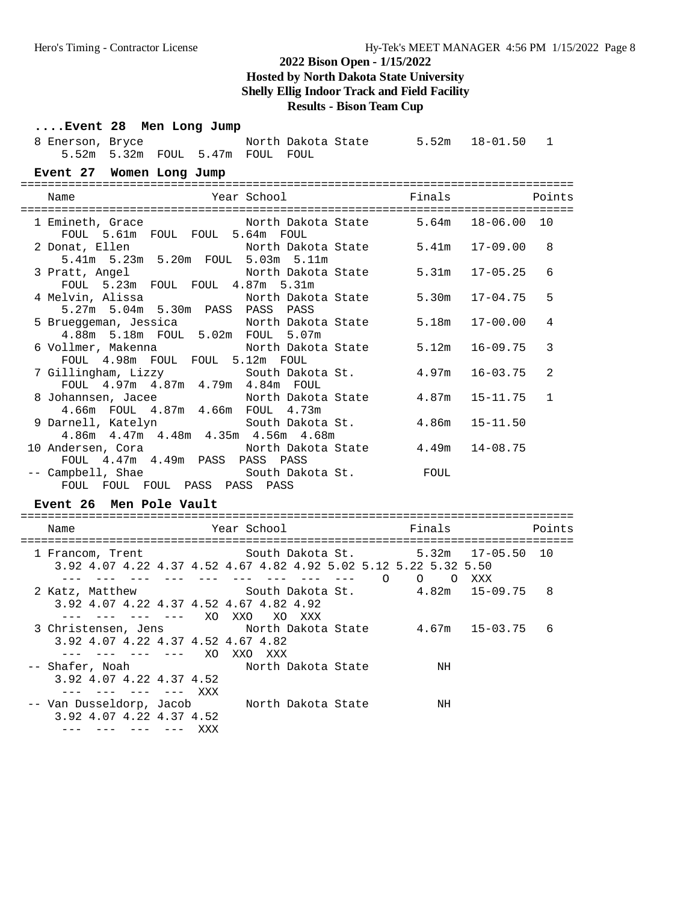| Event 28 Men Long Jump                                                             |                                                                          |             |         |                    |                    |                                                                                                                   |              |              |
|------------------------------------------------------------------------------------|--------------------------------------------------------------------------|-------------|---------|--------------------|--------------------|-------------------------------------------------------------------------------------------------------------------|--------------|--------------|
| 8 Enerson, Bryce                                                                   | 5.52m 5.32m FOUL 5.47m FOUL FOUL                                         |             |         |                    |                    | North Dakota State 5.52m 18-01.50 1                                                                               |              |              |
| Event 27 Women Long Jump                                                           |                                                                          |             |         |                    |                    |                                                                                                                   |              |              |
| Name                                                                               |                                                                          | Year School |         |                    |                    | Finals                                                                                                            |              | Points       |
| 1 Emineth, Grace                                                                   | FOUL 5.61m FOUL FOUL 5.64m FOUL                                          |             |         |                    |                    | North Dakota State 5.64m                                                                                          | 18-06.00 10  |              |
| 2 Donat, Ellen                                                                     | 5.41m 5.23m 5.20m FOUL 5.03m 5.11m                                       |             |         |                    |                    | North Dakota State 5.41m                                                                                          | 17-09.00     | 8            |
| 3 Pratt, Angel                                                                     | FOUL 5.23m FOUL FOUL 4.87m 5.31m                                         |             |         |                    | North Dakota State | 5.31m                                                                                                             | $17 - 05.25$ | 6            |
| 4 Melvin, Alissa               North Dakota State                                  | 5.27m 5.04m 5.30m PASS PASS PASS                                         |             |         |                    |                    | 5.30m                                                                                                             | $17 - 04.75$ | 5            |
| 5 Brueggeman, Jessica           North Dakota State                                 | 4.88m 5.18m FOUL 5.02m FOUL 5.07m                                        |             |         |                    |                    | 5.18m                                                                                                             | $17 - 00.00$ | 4            |
| 6 Vollmer, Makenna                                                                 | FOUL 4.98m FOUL FOUL 5.12m FOUL                                          |             |         |                    | North Dakota State | 5.12m                                                                                                             | $16 - 09.75$ | 3            |
| 7 Gillingham, Lizzy                                                                | FOUL 4.97m 4.87m 4.79m 4.84m FOUL                                        |             |         |                    | South Dakota St.   | 4.97m                                                                                                             | $16 - 03.75$ | 2            |
| 8 Johannsen, Jacee                                                                 | 4.66m FOUL 4.87m 4.66m FOUL 4.73m                                        |             |         |                    | North Dakota State | 4.87m                                                                                                             | $15 - 11.75$ | $\mathbf{1}$ |
| 9 Darnell, Katelyn South Dakota St.                                                | 4.86m  4.47m  4.48m  4.35m  4.56m  4.68m                                 |             |         |                    |                    | 4.86m                                                                                                             | $15 - 11.50$ |              |
| 10 Andersen, Cora (1997) North Dakota State                                        | FOUL 4.47m 4.49m PASS PASS PASS                                          |             |         |                    |                    | 4.49m                                                                                                             | $14 - 08.75$ |              |
| -- Campbell, Shae                 South Dakota St.           FOUL                  | FOUL FOUL FOUL PASS PASS PASS                                            |             |         |                    |                    |                                                                                                                   |              |              |
| Event 26 Men Pole Vault                                                            |                                                                          |             |         |                    |                    |                                                                                                                   |              |              |
| Name                                                                               |                                                                          |             |         |                    |                    |                                                                                                                   |              | Points       |
| 1 Francom, Trent 6. South Dakota St. 5.32m 17-05.50 10                             |                                                                          |             |         |                    |                    | 3.92 4.07 4.22 4.37 4.52 4.67 4.82 4.92 5.02 5.12 5.22 5.32 5.50<br>--- --- --- --- --- --- --- --- --- 0 0 0 XXX |              |              |
| 2 Katz, Matthew                                                                    | 3.92 4.07 4.22 4.37 4.52 4.67 4.82 4.92<br>--- --- --- --- XO XXO XO XXX |             |         |                    |                    | South Dakota St. 4.82m 15-09.75 8                                                                                 |              |              |
| 3 Christensen, Jens                North Dakota State         4.67m   15-03.75   6 | 3.92 4.07 4.22 4.37 4.52 4.67 4.82<br>$--- ---- ---- - $                 |             |         |                    |                    |                                                                                                                   |              |              |
| -- Shafer, Noah<br>$\frac{1}{2}$                                                   | 3.92 4.07 4.22 4.37 4.52<br><b>Albany Albany</b>                         | XXX         | XXO XXX | North Dakota State |                    | ΝH                                                                                                                |              |              |
| -- Van Dusseldorp, Jacob                                                           | 3.92 4.07 4.22 4.37 4.52<br>--- --- --- --- XXX                          |             |         | North Dakota State |                    | NH                                                                                                                |              |              |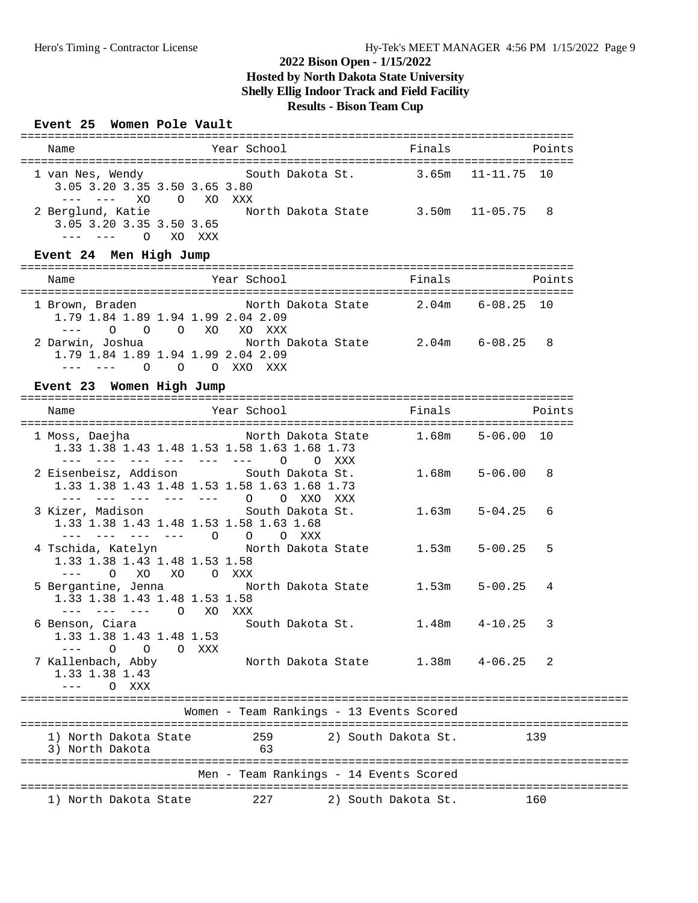### **Event 25 Women Pole Vault**

| Name                                                                                          | Year School                                                                                                                                                  | Finals               | Points           |
|-----------------------------------------------------------------------------------------------|--------------------------------------------------------------------------------------------------------------------------------------------------------------|----------------------|------------------|
| 1 van Nes, Wendy<br>3.05 3.20 3.35 3.50 3.65 3.80<br><b>Contract Contract Contract</b><br>XO. | South Dakota St.<br>O XO XXX                                                                                                                                 | 3.65m 11-11.75 10    |                  |
| 3.05 3.20 3.35 3.50 3.65<br>--- --- O XO XXX                                                  | 2 Berglund, Katie Morth Dakota State 3.50m 11-05.75 8                                                                                                        |                      |                  |
| Event 24 Men High Jump                                                                        |                                                                                                                                                              |                      |                  |
| Name                                                                                          | Year School                                                                                                                                                  | Finals               | Points           |
| 1 Brown, Braden                                                                               | North Dakota State 2.04m 6-08.25 10<br>1.79 1.84 1.89 1.94 1.99 2.04 2.09<br>--- 0 0 0 XO XO XXX                                                             |                      |                  |
| $--- - - - - 0$                                                                               | 2 Darwin, Joshua                 North Dakota State         2.04m     6-08.25<br>1.79 1.84 1.89 1.94 1.99 2.04 2.09<br>O O XXO XXX                           |                      | -8               |
| Event 23 Women High Jump                                                                      |                                                                                                                                                              |                      |                  |
| Name<br>=====================================                                                 | Year School                                                                                                                                                  | Finals               | Points           |
|                                                                                               | 1 Moss, Daejha                 North Dakota State<br>1.33 1.38 1.43 1.48 1.53 1.58 1.63 1.68 1.73<br>$\Omega$<br>$\sim$ $   \sim$ $ \sim$<br>$\Omega$<br>xxx | $1.68m$ $5-06.00$ 10 |                  |
|                                                                                               | 2 Eisenbeisz, Addison South Dakota St.<br>1.33 1.38 1.43 1.48 1.53 1.58 1.63 1.68 1.73<br>$-- ---$ 0<br>O XXO<br>XXX                                         | $1.68m$ $5-06.00$    | 8                |
|                                                                                               | 3 Kizer, Madison South Dakota St.<br>1.33 1.38 1.43 1.48 1.53 1.58 1.63 1.68                                                                                 | 1.63m                | $5 - 04.25$<br>6 |

| 4 Tschida, Katelyn             North Dakota State       1.53m     5-00.25     5<br>1.33 1.38 1.43 1.48 1.53 1.58                |         |                  |                                          |                     |  |
|---------------------------------------------------------------------------------------------------------------------------------|---------|------------------|------------------------------------------|---------------------|--|
| XO XO OXXX<br>$\overline{O}$<br>5 Bergantine, Jenna Morth Dakota State 1.53m 5-00.25 4<br>1.33 1.38 1.43 1.48 1.53 1.58         |         |                  |                                          |                     |  |
| ___ ___ ___ __<br>$\circ$<br>XO<br>6 Benson, Ciara<br>1.33 1.38 1.43 1.48 1.53                                                  | XXX     | South Dakota St. |                                          | $1.48m$ $4-10.25$ 3 |  |
| $---$ 0 0 0 XXX<br>7 Kallenbach, Abby               North Dakota State       1.38m     4-06.25     2<br>1.33 1.38 1.43<br>O XXX |         |                  |                                          |                     |  |
|                                                                                                                                 |         |                  | Women - Team Rankings - 13 Events Scored |                     |  |
| 1) North Dakota State<br>3) North Dakota<br>63                                                                                  | 259 259 |                  | 2) South Dakota St.                      | 139                 |  |
|                                                                                                                                 |         |                  | Men - Team Rankings - 14 Events Scored   |                     |  |

1) North Dakota State 227 2) South Dakota St. 160

--- --- --- --- O O O XXX